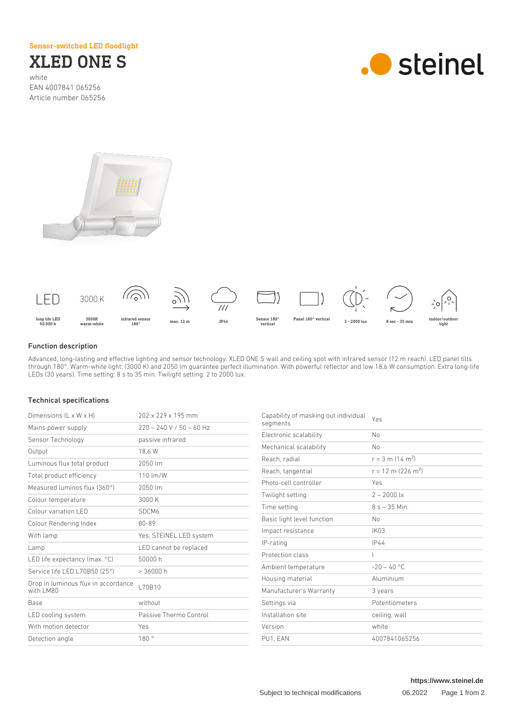Sensor-switched LED floodlight

XLED ONE S

white EAN 4007841 065256 Article number 065256







## Function description

Advanced, long-lasting and effective lighting and sensor technology. XLED ONE S wall and ceiling spot with infrared sensor (12 m reach). LED panel tilts through 180°. Warm-white light: (3000 K) and 2050 lm guarantee perfect illumination. With powerful reflector and low 18,6 W consumption. Extra long-life LEDs (30 years). Time setting: 8 s to 35 min. Twilight setting: 2 to 2000 lux.

## Technical specifications

| Dimensions (L x W x H)                           | 202 x 229 x 195 mm         |
|--------------------------------------------------|----------------------------|
| Mains power supply                               | $220 - 240$ V / 50 - 60 Hz |
| Sensor Technology                                | passive infrared           |
| Output                                           | 18,6 W                     |
| Luminous flux total product                      | 2050 lm                    |
| Total product efficiency                         | 110 lm/W                   |
| Measured luminos flux (360°)                     | 2050 lm                    |
| Colour temperature                               | 3000K                      |
| Colour variation LED                             | SDCM6                      |
| Colour Rendering Index                           | 80-89                      |
| With lamp                                        | Yes, STEINEL LED system    |
| Lamp                                             | LED cannot be replaced     |
| LED life expectancy (max. $^{\circ}$ C)          | 50000 h                    |
| Service life LED L70B50 (25°)                    | > 36000 h                  |
| Drop in luminous flux in accordance<br>with LM80 | L70B10                     |
| <b>Base</b>                                      | without                    |
| LED cooling system                               | Passive Thermo Control     |
| With motion detector                             | Yes                        |
| Detection angle                                  | 180°                       |

| Capability of masking out individual<br>segments | Yes                              |
|--------------------------------------------------|----------------------------------|
| Electronic scalability                           | No                               |
| Mechanical scalability                           | No                               |
| Reach, radial                                    | $r = 3$ m (14 m <sup>2</sup> )   |
| Reach, tangential                                | $r = 12$ m (226 m <sup>2</sup> ) |
| Photo-cell controller                            | Yes                              |
| Twilight setting                                 | $2 - 2000$ lx                    |
| Time setting                                     | $8 s - 35 Min.$                  |
| Basic light level function                       | No                               |
| Impact resistance                                | <b>IK03</b>                      |
| IP-rating                                        | IP44                             |
| Protection class                                 | $\overline{\phantom{a}}$         |
| Ambient temperature                              | $-20 - 40$ °C                    |
| Housing material                                 | Aluminium                        |
| Manufacturer's Warranty                          | 3 years                          |
| Settings via                                     | Potentiometers                   |
| Installation site                                | ceiling, wall                    |
| Version                                          | white                            |
| PU1. EAN                                         | 4007841065256                    |